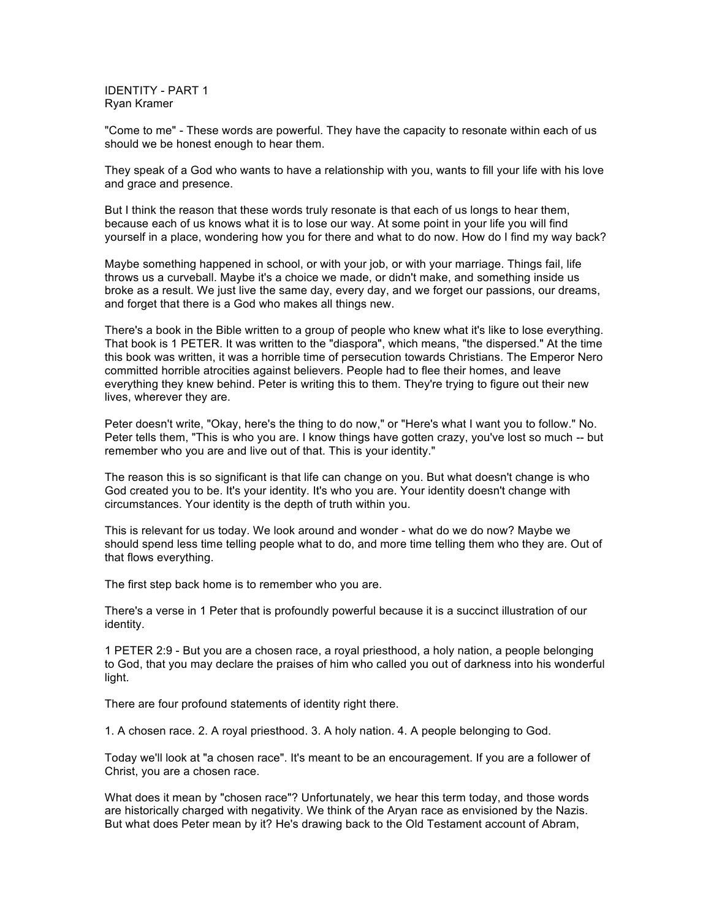IDENTITY - PART 1 Ryan Kramer

"Come to me" - These words are powerful. They have the capacity to resonate within each of us should we be honest enough to hear them.

They speak of a God who wants to have a relationship with you, wants to fill your life with his love and grace and presence.

But I think the reason that these words truly resonate is that each of us longs to hear them, because each of us knows what it is to lose our way. At some point in your life you will find yourself in a place, wondering how you for there and what to do now. How do I find my way back?

Maybe something happened in school, or with your job, or with your marriage. Things fail, life throws us a curveball. Maybe it's a choice we made, or didn't make, and something inside us broke as a result. We just live the same day, every day, and we forget our passions, our dreams, and forget that there is a God who makes all things new.

There's a book in the Bible written to a group of people who knew what it's like to lose everything. That book is 1 PETER. It was written to the "diaspora", which means, "the dispersed." At the time this book was written, it was a horrible time of persecution towards Christians. The Emperor Nero committed horrible atrocities against believers. People had to flee their homes, and leave everything they knew behind. Peter is writing this to them. They're trying to figure out their new lives, wherever they are.

Peter doesn't write, "Okay, here's the thing to do now," or "Here's what I want you to follow." No. Peter tells them, "This is who you are. I know things have gotten crazy, you've lost so much -- but remember who you are and live out of that. This is your identity."

The reason this is so significant is that life can change on you. But what doesn't change is who God created you to be. It's your identity. It's who you are. Your identity doesn't change with circumstances. Your identity is the depth of truth within you.

This is relevant for us today. We look around and wonder - what do we do now? Maybe we should spend less time telling people what to do, and more time telling them who they are. Out of that flows everything.

The first step back home is to remember who you are.

There's a verse in 1 Peter that is profoundly powerful because it is a succinct illustration of our identity.

1 PETER 2:9 - But you are a chosen race, a royal priesthood, a holy nation, a people belonging to God, that you may declare the praises of him who called you out of darkness into his wonderful light.

There are four profound statements of identity right there.

1. A chosen race. 2. A royal priesthood. 3. A holy nation. 4. A people belonging to God.

Today we'll look at "a chosen race". It's meant to be an encouragement. If you are a follower of Christ, you are a chosen race.

What does it mean by "chosen race"? Unfortunately, we hear this term today, and those words are historically charged with negativity. We think of the Aryan race as envisioned by the Nazis. But what does Peter mean by it? He's drawing back to the Old Testament account of Abram,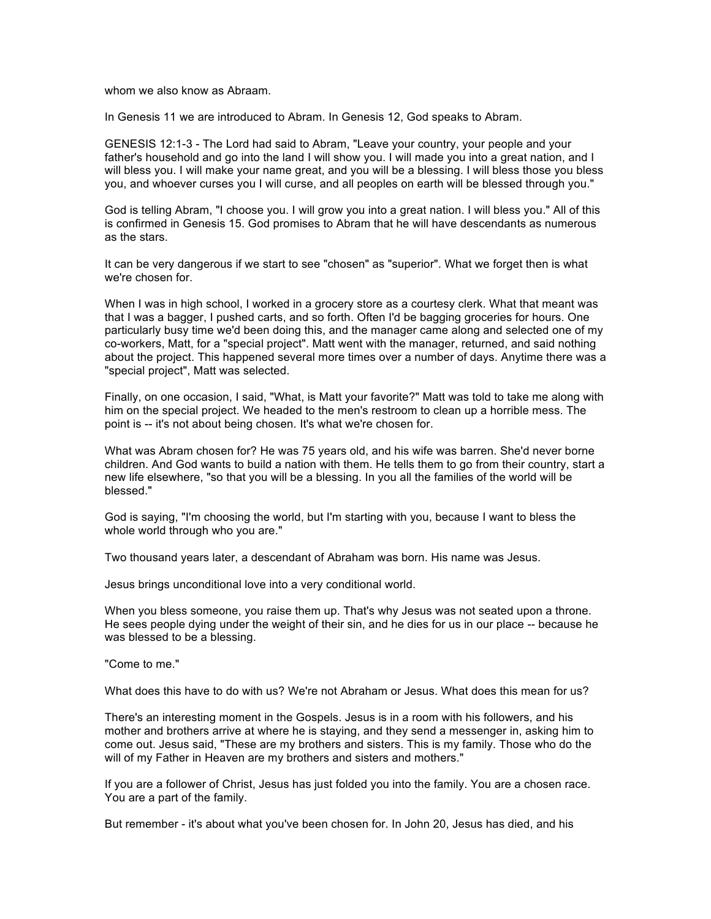whom we also know as Abraam.

In Genesis 11 we are introduced to Abram. In Genesis 12, God speaks to Abram.

GENESIS 12:1-3 - The Lord had said to Abram, "Leave your country, your people and your father's household and go into the land I will show you. I will made you into a great nation, and I will bless you. I will make your name great, and you will be a blessing. I will bless those you bless you, and whoever curses you I will curse, and all peoples on earth will be blessed through you."

God is telling Abram, "I choose you. I will grow you into a great nation. I will bless you." All of this is confirmed in Genesis 15. God promises to Abram that he will have descendants as numerous as the stars.

It can be very dangerous if we start to see "chosen" as "superior". What we forget then is what we're chosen for.

When I was in high school, I worked in a grocery store as a courtesy clerk. What that meant was that I was a bagger, I pushed carts, and so forth. Often I'd be bagging groceries for hours. One particularly busy time we'd been doing this, and the manager came along and selected one of my co-workers, Matt, for a "special project". Matt went with the manager, returned, and said nothing about the project. This happened several more times over a number of days. Anytime there was a "special project", Matt was selected.

Finally, on one occasion, I said, "What, is Matt your favorite?" Matt was told to take me along with him on the special project. We headed to the men's restroom to clean up a horrible mess. The point is -- it's not about being chosen. It's what we're chosen for.

What was Abram chosen for? He was 75 years old, and his wife was barren. She'd never borne children. And God wants to build a nation with them. He tells them to go from their country, start a new life elsewhere, "so that you will be a blessing. In you all the families of the world will be blessed."

God is saying, "I'm choosing the world, but I'm starting with you, because I want to bless the whole world through who you are."

Two thousand years later, a descendant of Abraham was born. His name was Jesus.

Jesus brings unconditional love into a very conditional world.

When you bless someone, you raise them up. That's why Jesus was not seated upon a throne. He sees people dying under the weight of their sin, and he dies for us in our place -- because he was blessed to be a blessing.

"Come to me."

What does this have to do with us? We're not Abraham or Jesus. What does this mean for us?

There's an interesting moment in the Gospels. Jesus is in a room with his followers, and his mother and brothers arrive at where he is staying, and they send a messenger in, asking him to come out. Jesus said, "These are my brothers and sisters. This is my family. Those who do the will of my Father in Heaven are my brothers and sisters and mothers."

If you are a follower of Christ, Jesus has just folded you into the family. You are a chosen race. You are a part of the family.

But remember - it's about what you've been chosen for. In John 20, Jesus has died, and his